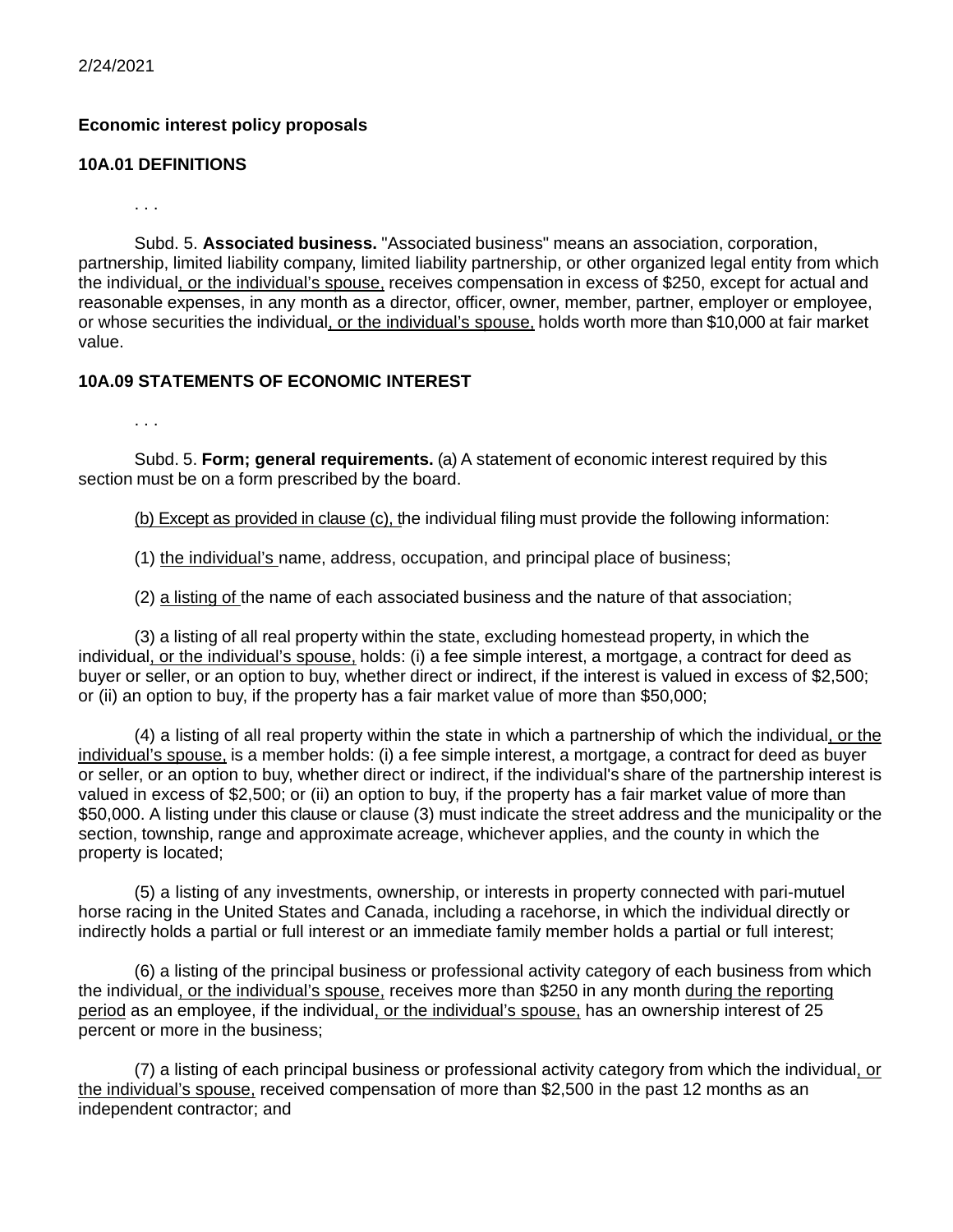2/24/2021

## **Economic interest policy proposals**

## **10A.01 DEFINITIONS**

. . .

. . .

Subd. 5. **Associated business.** "Associated business" means an association, corporation, partnership, limited liability company, limited liability partnership, or other organized legal entity from which the individual, or the individual's spouse, receives compensation in excess of \$250, except for actual and reasonable expenses, in any month as a director, officer, owner, member, partner, employer or employee, or whose securities the individual, or the individual's spouse, holds worth more than \$10,000 at fair market value.

## **10A.09 STATEMENTS OF ECONOMIC INTEREST**

Subd. 5. **Form; general requirements.** (a) A statement of economic interest required by this section must be on a form prescribed by the board.

(b) Except as provided in clause (c), the individual filing must provide the following information:

(1) the individual's name, address, occupation, and principal place of business;

(2) a listing of the name of each associated business and the nature of that association;

(3) a listing of all real property within the state, excluding homestead property, in which the individual, or the individual's spouse, holds: (i) a fee simple interest, a mortgage, a contract for deed as buyer or seller, or an option to buy, whether direct or indirect, if the interest is valued in excess of \$2,500; or (ii) an option to buy, if the property has a fair market value of more than \$50,000;

(4) a listing of all real property within the state in which a partnership of which the individual, or the individual's spouse, is a member holds: (i) a fee simple interest, a mortgage, a contract for deed as buyer or seller, or an option to buy, whether direct or indirect, if the individual's share of the partnership interest is valued in excess of \$2,500; or (ii) an option to buy, if the property has a fair market value of more than \$50,000. A listing under this clause or clause (3) must indicate the street address and the municipality or the section, township, range and approximate acreage, whichever applies, and the county in which the property is located;

(5) a listing of any investments, ownership, or interests in property connected with pari-mutuel horse racing in the United States and Canada, including a racehorse, in which the individual directly or indirectly holds a partial or full interest or an immediate family member holds a partial or full interest;

(6) a listing of the principal business or professional activity category of each business from which the individual, or the individual's spouse, receives more than \$250 in any month during the reporting period as an employee, if the individual, or the individual's spouse, has an ownership interest of 25 percent or more in the business;

(7) a listing of each principal business or professional activity category from which the individual, or the individual's spouse, received compensation of more than \$2,500 in the past 12 months as an independent contractor; and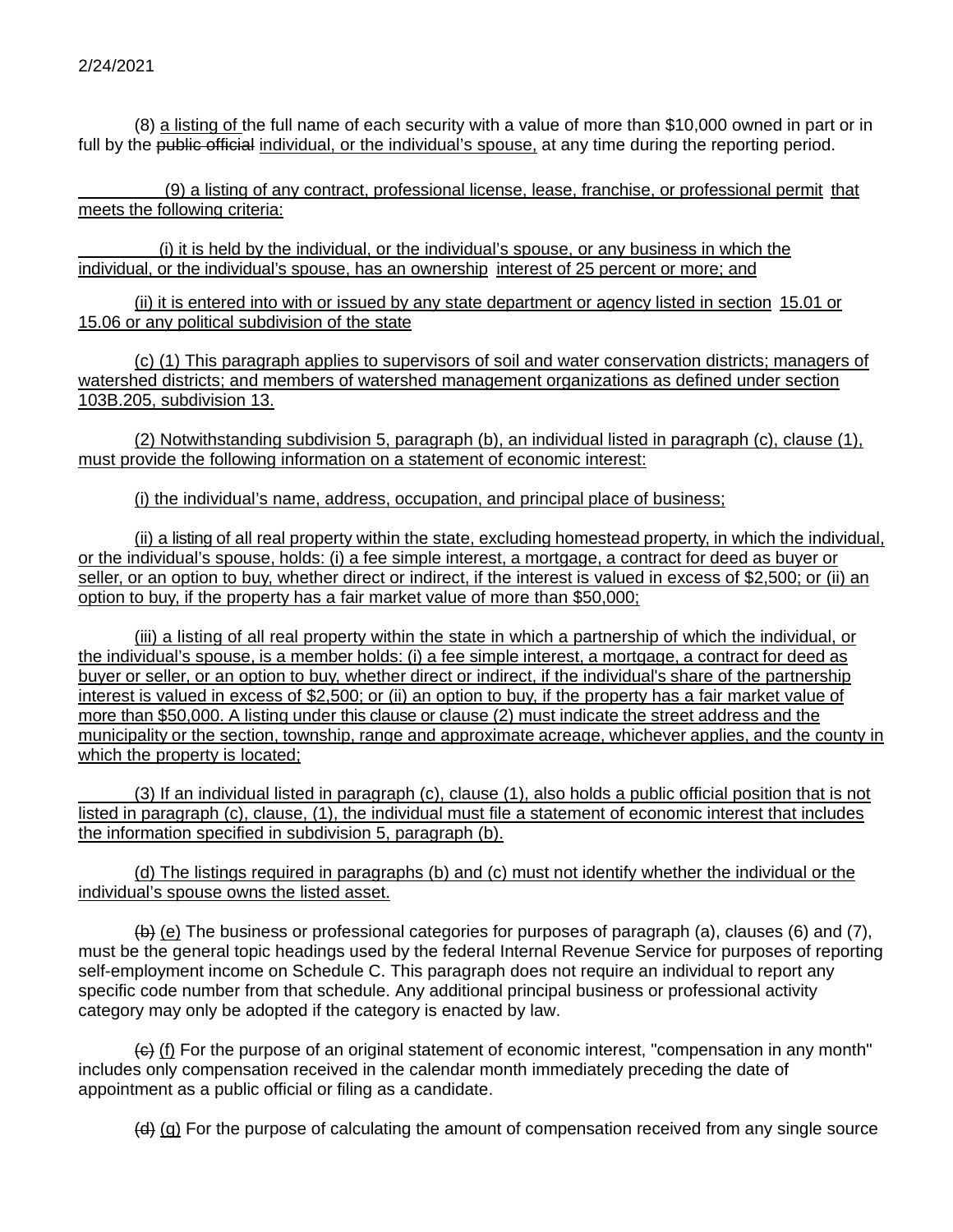(8) a listing of the full name of each security with a value of more than \$10,000 owned in part or in full by the public official individual, or the individual's spouse, at any time during the reporting period.

(9) a listing of any contract, professional license, lease, franchise, or professional permit that meets the following criteria:

(i) it is held by the individual, or the individual's spouse, or any business in which the individual, or the individual's spouse, has an ownership interest of 25 percent or more; and

(ii) it is entered into with or issued by any state department or agency listed in section 15.01 or 15.06 or any political subdivision of the state

(c) (1) This paragraph applies to supervisors of soil and water conservation districts; managers of watershed districts; and members of watershed management organizations as defined under section 103B.205, subdivision 13.

(2) Notwithstanding subdivision 5, paragraph (b), an individual listed in paragraph (c), clause (1), must provide the following information on a statement of economic interest:

(i) the individual's name, address, occupation, and principal place of business;

(ii) a listing of all real property within the state, excluding homestead property, in which the individual, or the individual's spouse, holds: (i) a fee simple interest, a mortgage, a contract for deed as buyer or seller, or an option to buy, whether direct or indirect, if the interest is valued in excess of \$2,500; or (ii) an option to buy, if the property has a fair market value of more than \$50,000;

(iii) a listing of all real property within the state in which a partnership of which the individual, or the individual's spouse, is a member holds: (i) a fee simple interest, a mortgage, a contract for deed as buyer or seller, or an option to buy, whether direct or indirect, if the individual's share of the partnership interest is valued in excess of \$2,500; or (ii) an option to buy, if the property has a fair market value of more than \$50,000. A listing under this clause or clause (2) must indicate the street address and the municipality or the section, township, range and approximate acreage, whichever applies, and the county in which the property is located;

(3) If an individual listed in paragraph (c), clause (1), also holds a public official position that is not listed in paragraph (c), clause, (1), the individual must file a statement of economic interest that includes the information specified in subdivision 5, paragraph (b).

(d) The listings required in paragraphs (b) and (c) must not identify whether the individual or the individual's spouse owns the listed asset.

 $\left(\frac{b}{c}\right)$  (e) The business or professional categories for purposes of paragraph (a), clauses (6) and (7), must be the general topic headings used by the federal Internal Revenue Service for purposes of reporting self-employment income on Schedule C. This paragraph does not require an individual to report any specific code number from that schedule. Any additional principal business or professional activity category may only be adopted if the category is enacted by law.

 $\left\langle \epsilon \right\rangle$  (f) For the purpose of an original statement of economic interest, "compensation in any month" includes only compensation received in the calendar month immediately preceding the date of appointment as a public official or filing as a candidate.

 $(d)$  (g) For the purpose of calculating the amount of compensation received from any single source